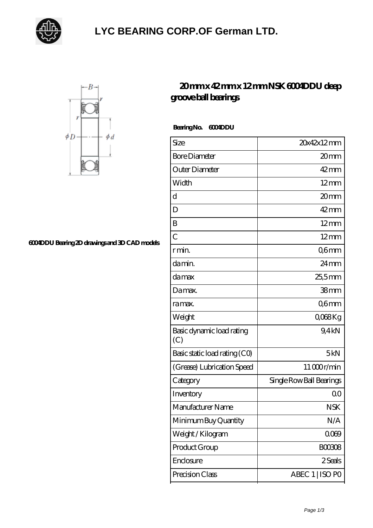

## **[LYC BEARING CORP.OF German LTD.](https://ijnjj.com)**



## **[6004DDU Bearing 2D drawings and 3D CAD models](https://ijnjj.com/pic-167532.html)**

## **[20 mm x 42 mm x 12 mm NSK 6004DDU deep](https://ijnjj.com/az-167532-nsk-6004ddu-deep-groove-ball-bearings.html) [groove ball bearings](https://ijnjj.com/az-167532-nsk-6004ddu-deep-groove-ball-bearings.html)**

 **Bearing No. 6004DDU**

| Size                             | 20x42x12mm               |
|----------------------------------|--------------------------|
| <b>Bore Diameter</b>             | 20mm                     |
| Outer Diameter                   | $42 \text{mm}$           |
| Width                            | $12 \text{mm}$           |
| $\mathbf d$                      | 20mm                     |
| D                                | $42 \text{mm}$           |
| B                                | $12 \text{mm}$           |
| $\overline{C}$                   | $12 \text{mm}$           |
| r min.                           | Q6mm                     |
| da min.                          | $24 \,\mathrm{mm}$       |
| damax                            | 25,5mm                   |
| Damax.                           | 38 <sub>mm</sub>         |
| ra max.                          | Q6mm                     |
| Weight                           | Q068Kg                   |
| Basic dynamic load rating<br>(C) | 9.4kN                    |
| Basic static load rating (CO)    | 5kN                      |
| (Grease) Lubrication Speed       | 11000r/min               |
| Category                         | Single Row Ball Bearings |
| Inventory                        | Q0                       |
| Manufacturer Name                | <b>NSK</b>               |
| Minimum Buy Quantity             | N/A                      |
| Weight / Kilogram                | 0009                     |
| Product Group                    | <b>BOO3O8</b>            |
| Enclosure                        | 2 Seals                  |
| Precision Class                  | ABEC 1   ISO PO          |
|                                  |                          |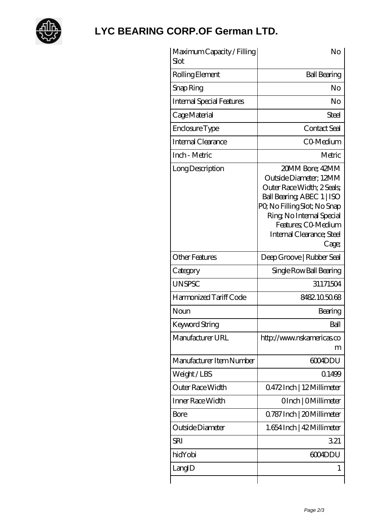

## **[LYC BEARING CORP.OF German LTD.](https://ijnjj.com)**

| Maximum Capacity / Filling<br>Slot | No                                                                                                                                                                                                                             |
|------------------------------------|--------------------------------------------------------------------------------------------------------------------------------------------------------------------------------------------------------------------------------|
| Rolling Element                    | <b>Ball Bearing</b>                                                                                                                                                                                                            |
| Snap Ring                          | No                                                                                                                                                                                                                             |
| <b>Internal Special Features</b>   | No                                                                                                                                                                                                                             |
| Cage Material                      | Steel                                                                                                                                                                                                                          |
| Enclosure Type                     | Contact Seal                                                                                                                                                                                                                   |
| Internal Clearance                 | CO-Medium                                                                                                                                                                                                                      |
| Inch - Metric                      | Metric                                                                                                                                                                                                                         |
| Long Description                   | 20MM Bore; 42MM<br>Outside Diameter: 12MM<br>Outer Race Width; 2 Seals;<br>Ball Bearing, ABEC 1   ISO<br>PQ No Filling Slot; No Snap<br>Ring, No Internal Special<br>Features; CO Medium<br>Internal Clearance; Steel<br>Cage; |
| <b>Other Features</b>              | Deep Groove   Rubber Seal                                                                                                                                                                                                      |
| Category                           | Single Row Ball Bearing                                                                                                                                                                                                        |
| <b>UNSPSC</b>                      | 31171504                                                                                                                                                                                                                       |
| Harmonized Tariff Code             | 8482105068                                                                                                                                                                                                                     |
| Noun                               | Bearing                                                                                                                                                                                                                        |
| Keyword String                     | Ball                                                                                                                                                                                                                           |
| Manufacturer URL                   | http://www.nskamericas.co<br>m                                                                                                                                                                                                 |
| Manufacturer Item Number           | 6004DDU                                                                                                                                                                                                                        |
| Weight/LBS                         | 0.1499                                                                                                                                                                                                                         |
| Outer Race Width                   | 0472Inch   12Millimeter                                                                                                                                                                                                        |
| Inner Race Width                   | OInch   OMillimeter                                                                                                                                                                                                            |
| <b>Bore</b>                        | 0.787 Inch   20 Millimeter                                                                                                                                                                                                     |
| Outside Diameter                   | 1.654 Inch   42 Millimeter                                                                                                                                                                                                     |
| <b>SRI</b>                         | 321                                                                                                                                                                                                                            |
| hidYobi                            | 6004DDU                                                                                                                                                                                                                        |
| LangID                             | 1                                                                                                                                                                                                                              |
|                                    |                                                                                                                                                                                                                                |